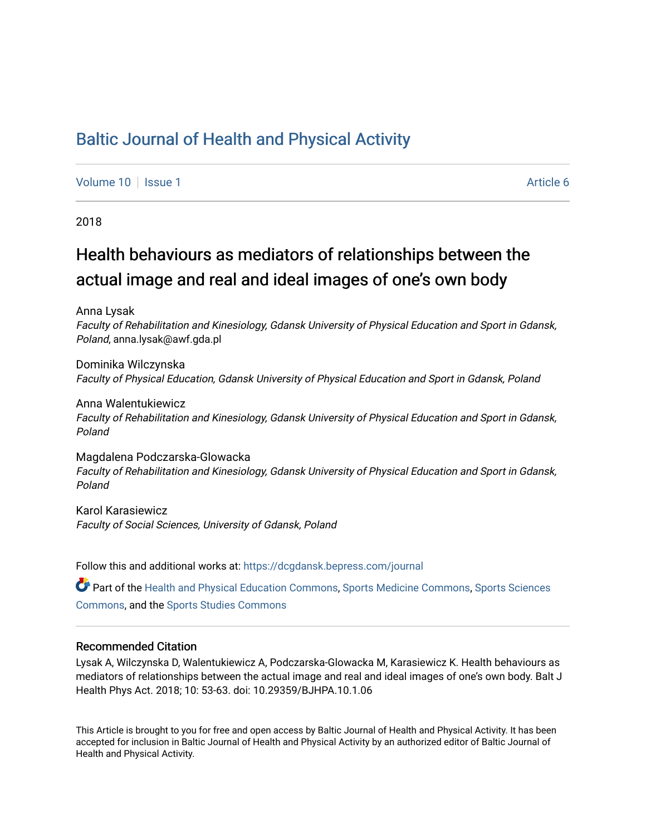## [Baltic Journal of Health and Physical Activity](https://dcgdansk.bepress.com/journal)

[Volume 10](https://dcgdansk.bepress.com/journal/vol10) | [Issue 1](https://dcgdansk.bepress.com/journal/vol10/iss1) Article 6

2018

## Health behaviours as mediators of relationships between the actual image and real and ideal images of one's own body

Anna Lysak

Faculty of Rehabilitation and Kinesiology, Gdansk University of Physical Education and Sport in Gdansk, Poland, anna.lysak@awf.gda.pl

Dominika Wilczynska Faculty of Physical Education, Gdansk University of Physical Education and Sport in Gdansk, Poland

Anna Walentukiewicz Faculty of Rehabilitation and Kinesiology, Gdansk University of Physical Education and Sport in Gdansk, Poland

Magdalena Podczarska-Glowacka Faculty of Rehabilitation and Kinesiology, Gdansk University of Physical Education and Sport in Gdansk, Poland

Karol Karasiewicz Faculty of Social Sciences, University of Gdansk, Poland

Follow this and additional works at: [https://dcgdansk.bepress.com/journal](https://dcgdansk.bepress.com/journal?utm_source=dcgdansk.bepress.com%2Fjournal%2Fvol10%2Fiss1%2F6&utm_medium=PDF&utm_campaign=PDFCoverPages)

Part of the [Health and Physical Education Commons](http://network.bepress.com/hgg/discipline/1327?utm_source=dcgdansk.bepress.com%2Fjournal%2Fvol10%2Fiss1%2F6&utm_medium=PDF&utm_campaign=PDFCoverPages), [Sports Medicine Commons,](http://network.bepress.com/hgg/discipline/1331?utm_source=dcgdansk.bepress.com%2Fjournal%2Fvol10%2Fiss1%2F6&utm_medium=PDF&utm_campaign=PDFCoverPages) [Sports Sciences](http://network.bepress.com/hgg/discipline/759?utm_source=dcgdansk.bepress.com%2Fjournal%2Fvol10%2Fiss1%2F6&utm_medium=PDF&utm_campaign=PDFCoverPages) [Commons](http://network.bepress.com/hgg/discipline/759?utm_source=dcgdansk.bepress.com%2Fjournal%2Fvol10%2Fiss1%2F6&utm_medium=PDF&utm_campaign=PDFCoverPages), and the [Sports Studies Commons](http://network.bepress.com/hgg/discipline/1198?utm_source=dcgdansk.bepress.com%2Fjournal%2Fvol10%2Fiss1%2F6&utm_medium=PDF&utm_campaign=PDFCoverPages) 

#### Recommended Citation

Lysak A, Wilczynska D, Walentukiewicz A, Podczarska-Glowacka M, Karasiewicz K. Health behaviours as mediators of relationships between the actual image and real and ideal images of one's own body. Balt J Health Phys Act. 2018; 10: 53-63. doi: 10.29359/BJHPA.10.1.06

This Article is brought to you for free and open access by Baltic Journal of Health and Physical Activity. It has been accepted for inclusion in Baltic Journal of Health and Physical Activity by an authorized editor of Baltic Journal of Health and Physical Activity.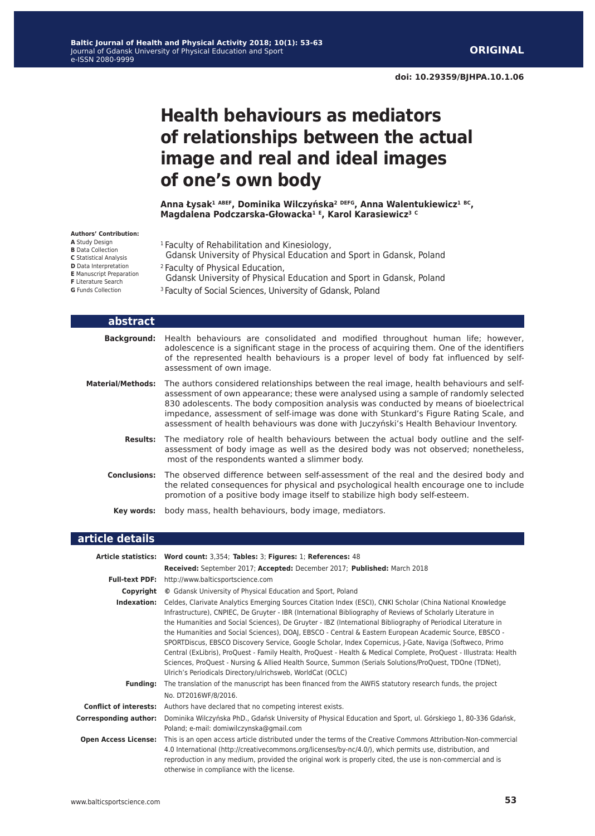**doi: 10.29359/BJHPA.10.1.06**

# **Health behaviours as mediators of relationships between the actual image and real and ideal images of one's own body**

**Anna Łysak<sup>1</sup> ABEF, Dominika Wilczyńska<sup>2</sup> DEFG, Anna Walentukiewicz<sup>1</sup> BC, Magdalena Podczarska-Głowacka<sup>1</sup> <sup>E</sup>, Karol Karasiewicz<sup>3</sup> <sup>C</sup>**

#### **Authors' Contribution:**

- **A** Study Design **B** Data Collection **C** Statistical Analysis **D** Data Interpretation **E** Manuscript Preparation **F** Literature Search **G** Funds Collection
- <sup>1</sup> Faculty of Rehabilitation and Kinesiology,
- Gdansk University of Physical Education and Sport in Gdansk, Poland 2 Faculty of Physical Education,
- Gdansk University of Physical Education and Sport in Gdansk, Poland
- <sup>3</sup> Faculty of Social Sciences, University of Gdansk, Poland

| abstract                 |                                                                                                                                                                                                                                                                                                                                                                                                                                                               |
|--------------------------|---------------------------------------------------------------------------------------------------------------------------------------------------------------------------------------------------------------------------------------------------------------------------------------------------------------------------------------------------------------------------------------------------------------------------------------------------------------|
| <b>Background:</b>       | Health behaviours are consolidated and modified throughout human life; however,<br>adolescence is a significant stage in the process of acquiring them. One of the identifiers<br>of the represented health behaviours is a proper level of body fat influenced by self-<br>assessment of own image.                                                                                                                                                          |
| <b>Material/Methods:</b> | The authors considered relationships between the real image, health behaviours and self-<br>assessment of own appearance; these were analysed using a sample of randomly selected<br>830 adolescents. The body composition analysis was conducted by means of bioelectrical<br>impedance, assessment of self-image was done with Stunkard's Figure Rating Scale, and<br>assessment of health behaviours was done with Juczyński's Health Behaviour Inventory. |
| <b>Results:</b>          | The mediatory role of health behaviours between the actual body outline and the self-<br>assessment of body image as well as the desired body was not observed; nonetheless,<br>most of the respondents wanted a slimmer body.                                                                                                                                                                                                                                |
| <b>Conclusions:</b>      | The observed difference between self-assessment of the real and the desired body and<br>the related consequences for physical and psychological health encourage one to include<br>promotion of a positive body image itself to stabilize high body self-esteem.                                                                                                                                                                                              |
| Kev words:               | body mass, health behaviours, body image, mediators.                                                                                                                                                                                                                                                                                                                                                                                                          |

### **article details**

|                              | Article statistics: Word count: 3,354; Tables: 3; Figures: 1; References: 48                                                                                                                                                                                                                                                                                                                                                                                                                                                                                                                                                                                                                                                                                                                                                                                  |
|------------------------------|---------------------------------------------------------------------------------------------------------------------------------------------------------------------------------------------------------------------------------------------------------------------------------------------------------------------------------------------------------------------------------------------------------------------------------------------------------------------------------------------------------------------------------------------------------------------------------------------------------------------------------------------------------------------------------------------------------------------------------------------------------------------------------------------------------------------------------------------------------------|
|                              | Received: September 2017; Accepted: December 2017; Published: March 2018                                                                                                                                                                                                                                                                                                                                                                                                                                                                                                                                                                                                                                                                                                                                                                                      |
|                              | <b>Full-text PDF:</b> http://www.balticsportscience.com                                                                                                                                                                                                                                                                                                                                                                                                                                                                                                                                                                                                                                                                                                                                                                                                       |
| Copyright                    | © Gdansk University of Physical Education and Sport, Poland                                                                                                                                                                                                                                                                                                                                                                                                                                                                                                                                                                                                                                                                                                                                                                                                   |
| Indexation:                  | Celdes, Clarivate Analytics Emerging Sources Citation Index (ESCI), CNKI Scholar (China National Knowledge<br>Infrastructure), CNPIEC, De Gruyter - IBR (International Bibliography of Reviews of Scholarly Literature in<br>the Humanities and Social Sciences), De Gruyter - IBZ (International Bibliography of Periodical Literature in<br>the Humanities and Social Sciences), DOAJ, EBSCO - Central & Eastern European Academic Source, EBSCO -<br>SPORTDiscus, EBSCO Discovery Service, Google Scholar, Index Copernicus, J-Gate, Naviga (Softweco, Primo<br>Central (ExLibris), ProQuest - Family Health, ProQuest - Health & Medical Complete, ProQuest - Illustrata: Health<br>Sciences, ProQuest - Nursing & Allied Health Source, Summon (Serials Solutions/ProQuest, TDOne (TDNet),<br>Ulrich's Periodicals Directory/ulrichsweb, WorldCat (OCLC) |
| <b>Funding:</b>              | The translation of the manuscript has been financed from the AWFIS statutory research funds, the project<br>No. DT2016WF/8/2016.                                                                                                                                                                                                                                                                                                                                                                                                                                                                                                                                                                                                                                                                                                                              |
|                              | <b>Conflict of interests:</b> Authors have declared that no competing interest exists.                                                                                                                                                                                                                                                                                                                                                                                                                                                                                                                                                                                                                                                                                                                                                                        |
| <b>Corresponding author:</b> | Dominika Wilczyńska PhD., Gdańsk University of Physical Education and Sport, ul. Górskiego 1, 80-336 Gdańsk,<br>Poland; e-mail: domiwilczynska@gmail.com                                                                                                                                                                                                                                                                                                                                                                                                                                                                                                                                                                                                                                                                                                      |
| <b>Open Access License:</b>  | This is an open access article distributed under the terms of the Creative Commons Attribution-Non-commercial<br>4.0 International (http://creativecommons.org/licenses/by-nc/4.0/), which permits use, distribution, and<br>reproduction in any medium, provided the original work is properly cited, the use is non-commercial and is<br>otherwise in compliance with the license.                                                                                                                                                                                                                                                                                                                                                                                                                                                                          |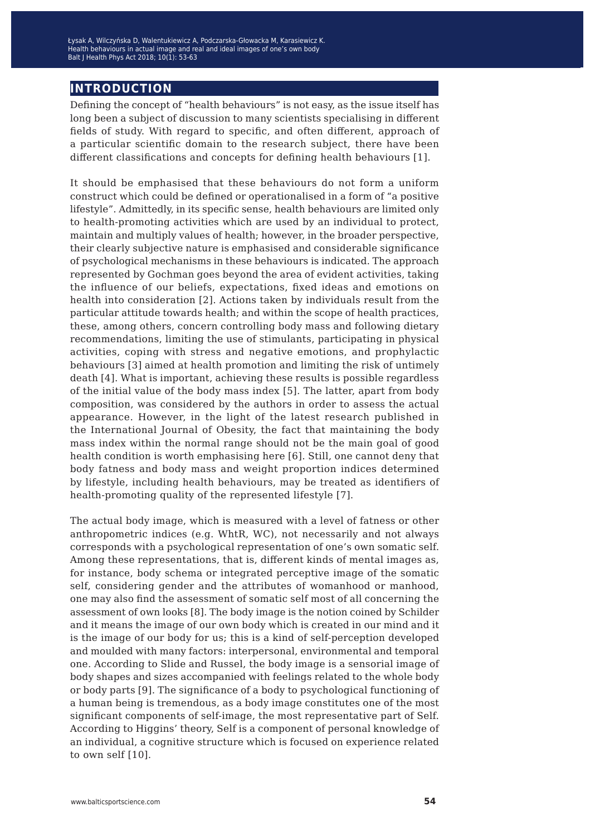Łysak A, Wilczyńska D, Walentukiewicz A, Podczarska-Głowacka M, Karasiewicz K. Health behaviours in actual image and real and ideal images of one's own body Balt J Health Phys Act 2018; 10(1): 53-63

### **introduction**

Defining the concept of "health behaviours" is not easy, as the issue itself has long been a subject of discussion to many scientists specialising in different fields of study. With regard to specific, and often different, approach of a particular scientific domain to the research subject, there have been different classifications and concepts for defining health behaviours [1].

It should be emphasised that these behaviours do not form a uniform construct which could be defined or operationalised in a form of "a positive lifestyle". Admittedly, in its specific sense, health behaviours are limited only to health-promoting activities which are used by an individual to protect, maintain and multiply values of health; however, in the broader perspective, their clearly subjective nature is emphasised and considerable significance of psychological mechanisms in these behaviours is indicated. The approach represented by Gochman goes beyond the area of evident activities, taking the influence of our beliefs, expectations, fixed ideas and emotions on health into consideration [2]. Actions taken by individuals result from the particular attitude towards health; and within the scope of health practices, these, among others, concern controlling body mass and following dietary recommendations, limiting the use of stimulants, participating in physical activities, coping with stress and negative emotions, and prophylactic behaviours [3] aimed at health promotion and limiting the risk of untimely death [4]. What is important, achieving these results is possible regardless of the initial value of the body mass index [5]. The latter, apart from body composition, was considered by the authors in order to assess the actual appearance. However, in the light of the latest research published in the International Journal of Obesity, the fact that maintaining the body mass index within the normal range should not be the main goal of good health condition is worth emphasising here [6]. Still, one cannot deny that body fatness and body mass and weight proportion indices determined by lifestyle, including health behaviours, may be treated as identifiers of health-promoting quality of the represented lifestyle [7].

The actual body image, which is measured with a level of fatness or other anthropometric indices (e.g. WhtR, WC), not necessarily and not always corresponds with a psychological representation of one's own somatic self. Among these representations, that is, different kinds of mental images as, for instance, body schema or integrated perceptive image of the somatic self, considering gender and the attributes of womanhood or manhood, one may also find the assessment of somatic self most of all concerning the assessment of own looks [8]. The body image is the notion coined by Schilder and it means the image of our own body which is created in our mind and it is the image of our body for us; this is a kind of self-perception developed and moulded with many factors: interpersonal, environmental and temporal one. According to Slide and Russel, the body image is a sensorial image of body shapes and sizes accompanied with feelings related to the whole body or body parts [9]. The significance of a body to psychological functioning of a human being is tremendous, as a body image constitutes one of the most significant components of self-image, the most representative part of Self. According to Higgins' theory, Self is a component of personal knowledge of an individual, a cognitive structure which is focused on experience related to own self [10].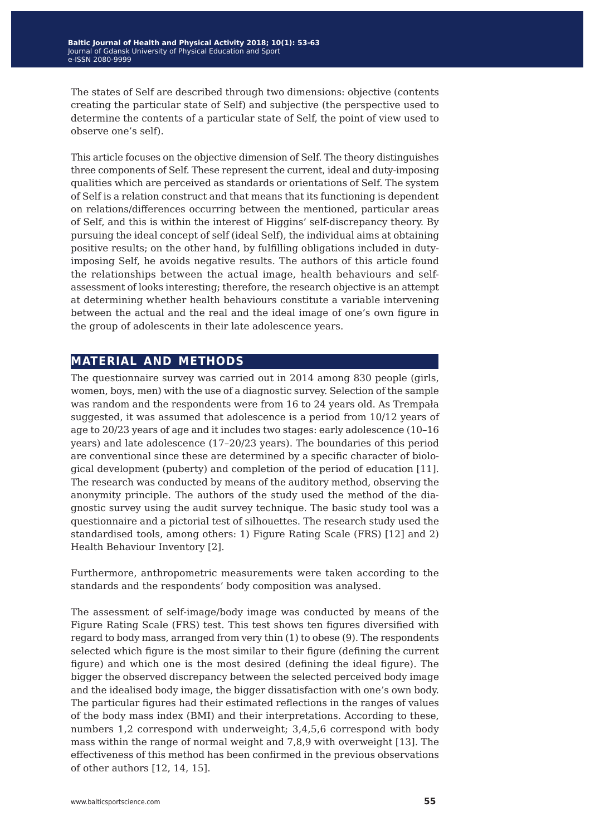The states of Self are described through two dimensions: objective (contents creating the particular state of Self) and subjective (the perspective used to determine the contents of a particular state of Self, the point of view used to observe one's self).

This article focuses on the objective dimension of Self. The theory distinguishes three components of Self. These represent the current, ideal and duty-imposing qualities which are perceived as standards or orientations of Self. The system of Self is a relation construct and that means that its functioning is dependent on relations/differences occurring between the mentioned, particular areas of Self, and this is within the interest of Higgins' self-discrepancy theory. By pursuing the ideal concept of self (ideal Self), the individual aims at obtaining positive results; on the other hand, by fulfilling obligations included in dutyimposing Self, he avoids negative results. The authors of this article found the relationships between the actual image, health behaviours and selfassessment of looks interesting; therefore, the research objective is an attempt at determining whether health behaviours constitute a variable intervening between the actual and the real and the ideal image of one's own figure in the group of adolescents in their late adolescence years.

## **material and methods**

The questionnaire survey was carried out in 2014 among 830 people (girls, women, boys, men) with the use of a diagnostic survey. Selection of the sample was random and the respondents were from 16 to 24 years old. As Trempała suggested, it was assumed that adolescence is a period from 10/12 years of age to 20/23 years of age and it includes two stages: early adolescence (10–16 years) and late adolescence (17–20/23 years). The boundaries of this period are conventional since these are determined by a specific character of biological development (puberty) and completion of the period of education [11]. The research was conducted by means of the auditory method, observing the anonymity principle. The authors of the study used the method of the diagnostic survey using the audit survey technique. The basic study tool was a questionnaire and a pictorial test of silhouettes. The research study used the standardised tools, among others: 1) Figure Rating Scale (FRS) [12] and 2) Health Behaviour Inventory [2].

Furthermore, anthropometric measurements were taken according to the standards and the respondents' body composition was analysed.

The assessment of self-image/body image was conducted by means of the Figure Rating Scale (FRS) test. This test shows ten figures diversified with regard to body mass, arranged from very thin (1) to obese (9). The respondents selected which figure is the most similar to their figure (defining the current figure) and which one is the most desired (defining the ideal figure). The bigger the observed discrepancy between the selected perceived body image and the idealised body image, the bigger dissatisfaction with one's own body. The particular figures had their estimated reflections in the ranges of values of the body mass index (BMI) and their interpretations. According to these, numbers 1,2 correspond with underweight; 3,4,5,6 correspond with body mass within the range of normal weight and 7,8,9 with overweight [13]. The effectiveness of this method has been confirmed in the previous observations of other authors [12, 14, 15].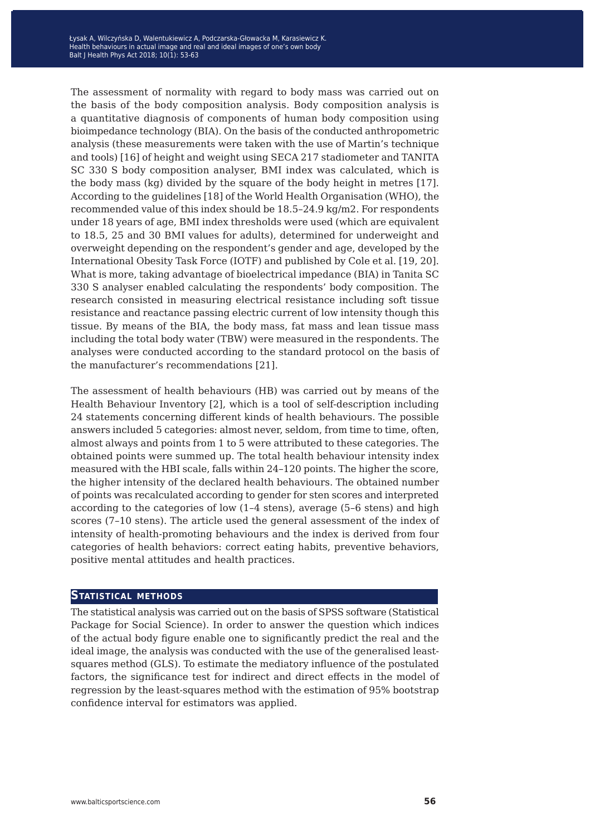The assessment of normality with regard to body mass was carried out on the basis of the body composition analysis. Body composition analysis is a quantitative diagnosis of components of human body composition using bioimpedance technology (BIA). On the basis of the conducted anthropometric analysis (these measurements were taken with the use of Martin's technique and tools) [16] of height and weight using SECA 217 stadiometer and TANITA SC 330 S body composition analyser, BMI index was calculated, which is the body mass (kg) divided by the square of the body height in metres [17]. According to the guidelines [18] of the World Health Organisation (WHO), the recommended value of this index should be 18.5–24.9 kg/m2. For respondents under 18 years of age, BMI index thresholds were used (which are equivalent to 18.5, 25 and 30 BMI values for adults), determined for underweight and overweight depending on the respondent's gender and age, developed by the International Obesity Task Force (IOTF) and published by Cole et al. [19, 20]. What is more, taking advantage of bioelectrical impedance (BIA) in Tanita SC 330 S analyser enabled calculating the respondents' body composition. The research consisted in measuring electrical resistance including soft tissue resistance and reactance passing electric current of low intensity though this tissue. By means of the BIA, the body mass, fat mass and lean tissue mass including the total body water (TBW) were measured in the respondents. The analyses were conducted according to the standard protocol on the basis of the manufacturer's recommendations [21].

The assessment of health behaviours (HB) was carried out by means of the Health Behaviour Inventory [2], which is a tool of self-description including 24 statements concerning different kinds of health behaviours. The possible answers included 5 categories: almost never, seldom, from time to time, often, almost always and points from 1 to 5 were attributed to these categories. The obtained points were summed up. The total health behaviour intensity index measured with the HBI scale, falls within 24–120 points. The higher the score, the higher intensity of the declared health behaviours. The obtained number of points was recalculated according to gender for sten scores and interpreted according to the categories of low (1–4 stens), average (5–6 stens) and high scores (7–10 stens). The article used the general assessment of the index of intensity of health-promoting behaviours and the index is derived from four categories of health behaviors: correct eating habits, preventive behaviors, positive mental attitudes and health practices.

#### **Statistical methods**

The statistical analysis was carried out on the basis of SPSS software (Statistical Package for Social Science). In order to answer the question which indices of the actual body figure enable one to significantly predict the real and the ideal image, the analysis was conducted with the use of the generalised leastsquares method (GLS). To estimate the mediatory influence of the postulated factors, the significance test for indirect and direct effects in the model of regression by the least-squares method with the estimation of 95% bootstrap confidence interval for estimators was applied.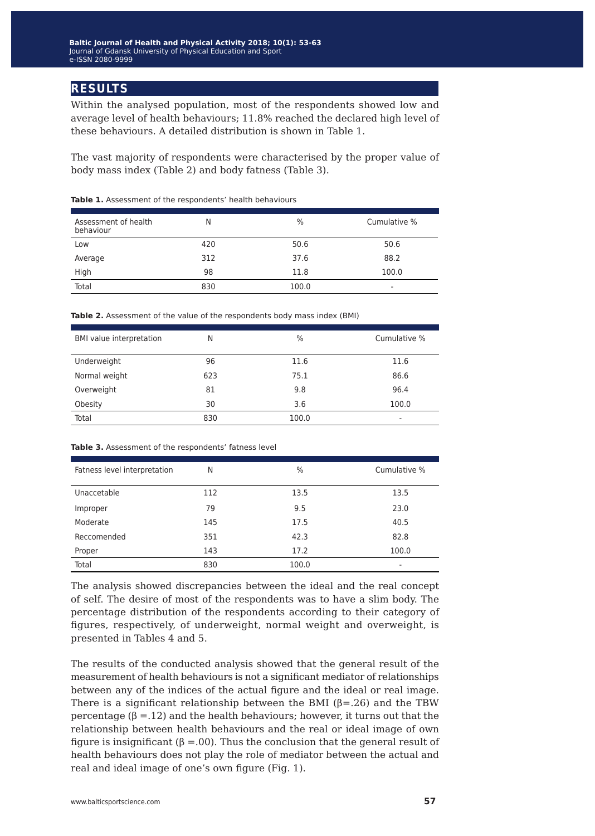## **results**

Within the analysed population, most of the respondents showed low and average level of health behaviours; 11.8% reached the declared high level of these behaviours. A detailed distribution is shown in Table 1.

The vast majority of respondents were characterised by the proper value of body mass index (Table 2) and body fatness (Table 3).

| Assessment of health<br>behaviour | N   | $\%$  | Cumulative % |
|-----------------------------------|-----|-------|--------------|
| Low                               | 420 | 50.6  | 50.6         |
| Average                           | 312 | 37.6  | 88.2         |
| High                              | 98  | 11.8  | 100.0        |
| Total                             | 830 | 100.0 | ۰            |

#### **Table 1.** Assessment of the respondents' health behaviours

| BMI value interpretation | N   | %     | Cumulative % |
|--------------------------|-----|-------|--------------|
| Underweight              | 96  | 11.6  | 11.6         |
| Normal weight            | 623 | 75.1  | 86.6         |
| Overweight               | 81  | 9.8   | 96.4         |
| Obesity                  | 30  | 3.6   | 100.0        |
| Total                    | 830 | 100.0 | -            |

| Fatness level interpretation | N   | $\frac{0}{0}$ | Cumulative % |
|------------------------------|-----|---------------|--------------|
| Unaccetable                  | 112 | 13.5          | 13.5         |
| Improper                     | 79  | 9.5           | 23.0         |
| Moderate                     | 145 | 17.5          | 40.5         |
| Reccomended                  | 351 | 42.3          | 82.8         |
| Proper                       | 143 | 17.2          | 100.0        |
| Total                        | 830 | 100.0         | ۰            |

Table 3. Assessment of the respondents' fatness level

The analysis showed discrepancies between the ideal and the real concept of self. The desire of most of the respondents was to have a slim body. The percentage distribution of the respondents according to their category of figures, respectively, of underweight, normal weight and overweight, is presented in Tables 4 and 5.

The results of the conducted analysis showed that the general result of the measurement of health behaviours is not a significant mediator of relationships between any of the indices of the actual figure and the ideal or real image. There is a significant relationship between the BMI ( $\beta$ =.26) and the TBW percentage (β =.12) and the health behaviours; however, it turns out that the relationship between health behaviours and the real or ideal image of own figure is insignificant (β =.00). Thus the conclusion that the general result of health behaviours does not play the role of mediator between the actual and real and ideal image of one's own figure (Fig. 1).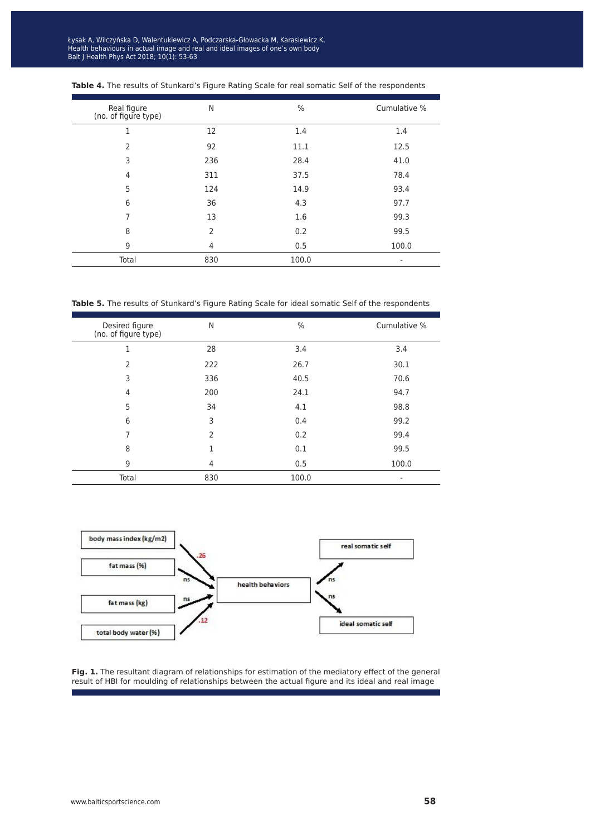ysak A, wiiczyńska D, v Balth behaviours in actual image and real and ideal images of one s ow ait J Health Phys Act 2018; 10(1): 53-63 Łysak A, Wilczyńska D, Walentukiewicz A, Podczarska-Głowacka M, Karasiewicz K. Health behaviours in actual image and real and ideal images of one's own body Balt J Health Phys Act 2018; 10(1): 53-63

| Real figure<br>(no. of figure type) | N              | $\%$  | Cumulative % |
|-------------------------------------|----------------|-------|--------------|
| 1                                   | 12             | 1.4   | 1.4          |
| $\overline{2}$                      | 92             | 11.1  | 12.5         |
| 3                                   | 236            | 28.4  | 41.0         |
| 4                                   | 311            | 37.5  | 78.4         |
| 5                                   | 124            | 14.9  | 93.4         |
| 6                                   | 36             | 4.3   | 97.7         |
| 7                                   | 13             | 1.6   | 99.3         |
| 8                                   | $\overline{2}$ | 0.2   | 99.5         |
| 9                                   | 4              | 0.5   | 100.0        |
| Total                               | 830            | 100.0 | ٠            |

| <b>Table 4.</b> The results of Stunkard's Figure Rating Scale for real somatic Self of the respondents |  |  |  |  |
|--------------------------------------------------------------------------------------------------------|--|--|--|--|
|--------------------------------------------------------------------------------------------------------|--|--|--|--|

**Table 5.** The results of Stunkard's Figure Rating Scale for ideal somatic Self of the respondents

| Desired figure<br>(no. of figure type) | N              | $\%$  | Cumulative % |
|----------------------------------------|----------------|-------|--------------|
| 1                                      | 28             | 3.4   | 3.4          |
| $\overline{2}$                         | 222            | 26.7  | 30.1         |
| 3                                      | 336            | 40.5  | 70.6         |
| $\overline{4}$                         | 200            | 24.1  | 94.7         |
| 5                                      | 34             | 4.1   | 98.8         |
| 6                                      | 3              | 0.4   | 99.2         |
| 7                                      | $\overline{2}$ | 0.2   | 99.4         |
| 8                                      | 1              | 0.1   | 99.5         |
| 9                                      | 4              | 0.5   | 100.0        |
| Total                                  | 830            | 100.0 |              |



**Fig. 1.** The resultant diagram of relationships for estimation of the mediatory effect of the general result of HBI for moulding of relationships between the actual figure and its ideal and real image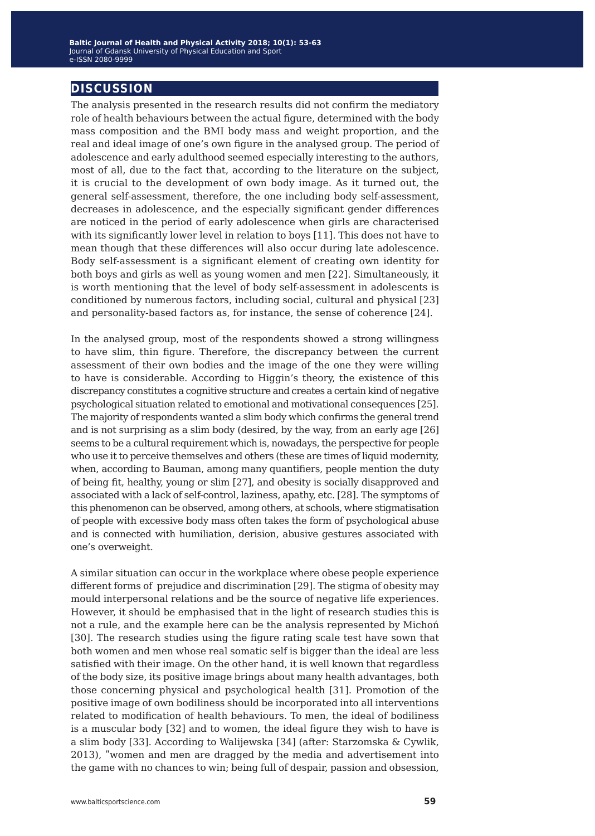## **discussion**

The analysis presented in the research results did not confirm the mediatory role of health behaviours between the actual figure, determined with the body mass composition and the BMI body mass and weight proportion, and the real and ideal image of one's own figure in the analysed group. The period of adolescence and early adulthood seemed especially interesting to the authors, most of all, due to the fact that, according to the literature on the subject, it is crucial to the development of own body image. As it turned out, the general self-assessment, therefore, the one including body self-assessment, decreases in adolescence, and the especially significant gender differences are noticed in the period of early adolescence when girls are characterised with its significantly lower level in relation to boys [11]. This does not have to mean though that these differences will also occur during late adolescence. Body self-assessment is a significant element of creating own identity for both boys and girls as well as young women and men [22]. Simultaneously, it is worth mentioning that the level of body self-assessment in adolescents is conditioned by numerous factors, including social, cultural and physical [23] and personality-based factors as, for instance, the sense of coherence [24].

In the analysed group, most of the respondents showed a strong willingness to have slim, thin figure. Therefore, the discrepancy between the current assessment of their own bodies and the image of the one they were willing to have is considerable. According to Higgin's theory, the existence of this discrepancy constitutes a cognitive structure and creates a certain kind of negative psychological situation related to emotional and motivational consequences [25]. The majority of respondents wanted a slim body which confirms the general trend and is not surprising as a slim body (desired, by the way, from an early age [26] seems to be a cultural requirement which is, nowadays, the perspective for people who use it to perceive themselves and others (these are times of liquid modernity, when, according to Bauman, among many quantifiers, people mention the duty of being fit, healthy, young or slim [27], and obesity is socially disapproved and associated with a lack of self-control, laziness, apathy, etc. [28]. The symptoms of this phenomenon can be observed, among others, at schools, where stigmatisation of people with excessive body mass often takes the form of psychological abuse and is connected with humiliation, derision, abusive gestures associated with one's overweight.

A similar situation can occur in the workplace where obese people experience different forms of prejudice and discrimination [29]. The stigma of obesity may mould interpersonal relations and be the source of negative life experiences. However, it should be emphasised that in the light of research studies this is not a rule, and the example here can be the analysis represented by Michoń [30]. The research studies using the figure rating scale test have sown that both women and men whose real somatic self is bigger than the ideal are less satisfied with their image. On the other hand, it is well known that regardless of the body size, its positive image brings about many health advantages, both those concerning physical and psychological health [31]. Promotion of the positive image of own bodiliness should be incorporated into all interventions related to modification of health behaviours. To men, the ideal of bodiliness is a muscular body [32] and to women, the ideal figure they wish to have is a slim body [33]. According to Walijewska [34] (after: Starzomska & Cywlik, 2013), "women and men are dragged by the media and advertisement into the game with no chances to win; being full of despair, passion and obsession,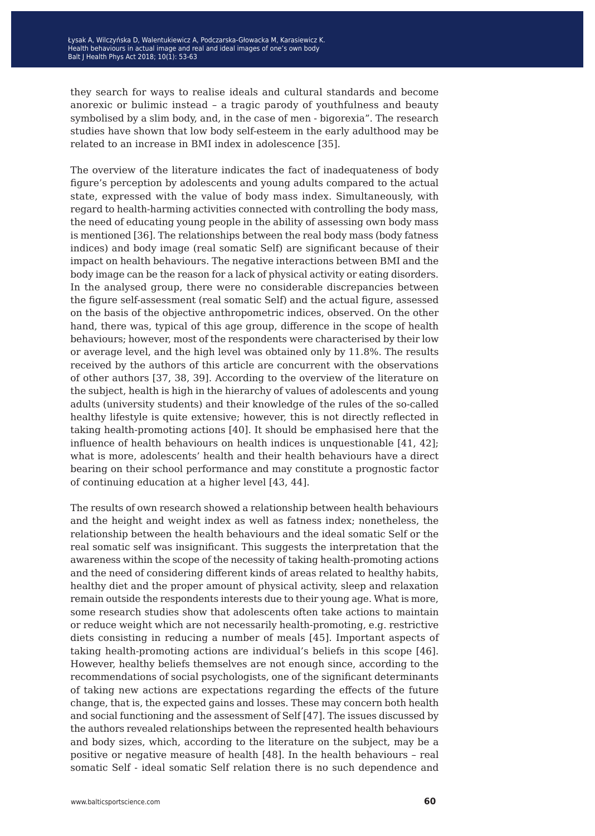they search for ways to realise ideals and cultural standards and become anorexic or bulimic instead – a tragic parody of youthfulness and beauty symbolised by a slim body, and, in the case of men - bigorexia". The research studies have shown that low body self-esteem in the early adulthood may be related to an increase in BMI index in adolescence [35].

The overview of the literature indicates the fact of inadequateness of body figure's perception by adolescents and young adults compared to the actual state, expressed with the value of body mass index. Simultaneously, with regard to health-harming activities connected with controlling the body mass, the need of educating young people in the ability of assessing own body mass is mentioned [36]. The relationships between the real body mass (body fatness indices) and body image (real somatic Self) are significant because of their impact on health behaviours. The negative interactions between BMI and the body image can be the reason for a lack of physical activity or eating disorders. In the analysed group, there were no considerable discrepancies between the figure self-assessment (real somatic Self) and the actual figure, assessed on the basis of the objective anthropometric indices, observed. On the other hand, there was, typical of this age group, difference in the scope of health behaviours; however, most of the respondents were characterised by their low or average level, and the high level was obtained only by 11.8%. The results received by the authors of this article are concurrent with the observations of other authors [37, 38, 39]. According to the overview of the literature on the subject, health is high in the hierarchy of values of adolescents and young adults (university students) and their knowledge of the rules of the so-called healthy lifestyle is quite extensive; however, this is not directly reflected in taking health-promoting actions [40]. It should be emphasised here that the influence of health behaviours on health indices is unquestionable [41, 42]; what is more, adolescents' health and their health behaviours have a direct bearing on their school performance and may constitute a prognostic factor of continuing education at a higher level [43, 44].

The results of own research showed a relationship between health behaviours and the height and weight index as well as fatness index; nonetheless, the relationship between the health behaviours and the ideal somatic Self or the real somatic self was insignificant. This suggests the interpretation that the awareness within the scope of the necessity of taking health-promoting actions and the need of considering different kinds of areas related to healthy habits, healthy diet and the proper amount of physical activity, sleep and relaxation remain outside the respondents interests due to their young age. What is more, some research studies show that adolescents often take actions to maintain or reduce weight which are not necessarily health-promoting, e.g. restrictive diets consisting in reducing a number of meals [45]. Important aspects of taking health-promoting actions are individual's beliefs in this scope [46]. However, healthy beliefs themselves are not enough since, according to the recommendations of social psychologists, one of the significant determinants of taking new actions are expectations regarding the effects of the future change, that is, the expected gains and losses. These may concern both health and social functioning and the assessment of Self [47]. The issues discussed by the authors revealed relationships between the represented health behaviours and body sizes, which, according to the literature on the subject, may be a positive or negative measure of health [48]. In the health behaviours – real somatic Self - ideal somatic Self relation there is no such dependence and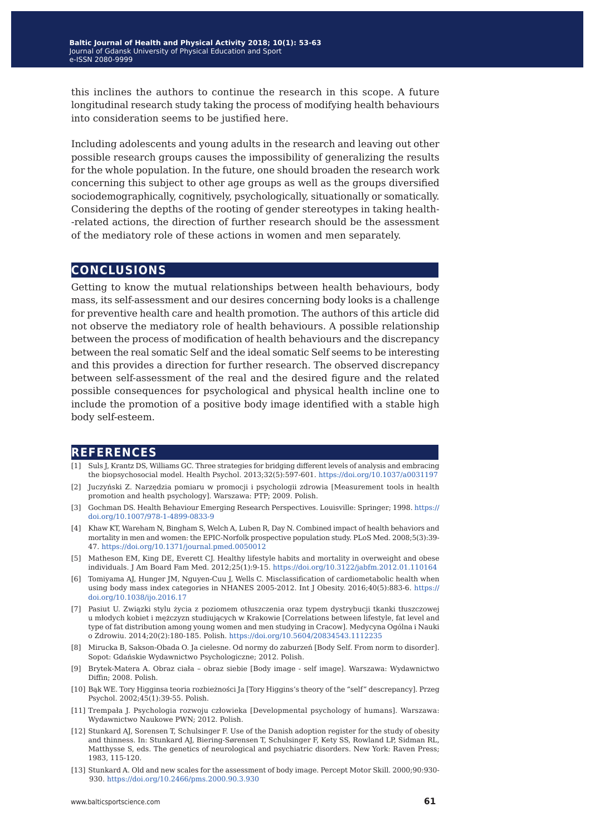this inclines the authors to continue the research in this scope. A future longitudinal research study taking the process of modifying health behaviours into consideration seems to be justified here.

Including adolescents and young adults in the research and leaving out other possible research groups causes the impossibility of generalizing the results for the whole population. In the future, one should broaden the research work concerning this subject to other age groups as well as the groups diversified sociodemographically, cognitively, psychologically, situationally or somatically. Considering the depths of the rooting of gender stereotypes in taking health- -related actions, the direction of further research should be the assessment of the mediatory role of these actions in women and men separately.

### **conclusions**

Getting to know the mutual relationships between health behaviours, body mass, its self-assessment and our desires concerning body looks is a challenge for preventive health care and health promotion. The authors of this article did not observe the mediatory role of health behaviours. A possible relationship between the process of modification of health behaviours and the discrepancy between the real somatic Self and the ideal somatic Self seems to be interesting and this provides a direction for further research. The observed discrepancy between self-assessment of the real and the desired figure and the related possible consequences for psychological and physical health incline one to include the promotion of a positive body image identified with a stable high body self-esteem.

#### **references**

- [1] Suls J, Krantz DS, Williams GC. Three strategies for bridging different levels of analysis and embracing the biopsychosocial model. Health Psychol. 2013;32(5):597-601. <https://doi.org/10.1037/a0031197>
- [2] Juczyński Z. Narzędzia pomiaru w promocji i psychologii zdrowia [Measurement tools in health promotion and health psychology]. Warszawa: PTP; 2009. Polish.
- [3] Gochman DS. Health Behaviour Emerging Research Perspectives. Louisville: Springer; 1998. [https://](https://doi.org/10.1007/978-1-4899-0833-9) [doi.org/10.1007/978-1-4899-0833-9](https://doi.org/10.1007/978-1-4899-0833-9)
- [4] Khaw KT, Wareham N, Bingham S, Welch A, Luben R, Day N. Combined impact of health behaviors and mortality in men and women: the EPIC-Norfolk prospective population study. PLoS Med. 2008;5(3):39- 47. <https://doi.org/10.1371/journal.pmed.0050012>
- [5] Matheson EM, King DE, Everett CJ. Healthy lifestyle habits and mortality in overweight and obese individuals. J Am Board Fam Med. 2012;25(1):9-15.<https://doi.org/10.3122/jabfm.2012.01.110164>
- [6] Tomiyama AJ, Hunger JM, Nguyen-Cuu J, Wells C. Misclassification of cardiometabolic health when using body mass index categories in NHANES 2005-2012. Int J Obesity. 2016;40(5):883-6. [https://](https://doi.org/10.1038/ijo.2016.17) [doi.org/10.1038/ijo.2016.17](https://doi.org/10.1038/ijo.2016.17)
- [7] Pasiut U. Związki stylu życia z poziomem otłuszczenia oraz typem dystrybucji tkanki tłuszczowej u młodych kobiet i mężczyzn studiujących w Krakowie [Correlations between lifestyle, fat level and type of fat distribution among young women and men studying in Cracow]. Medycyna Ogólna i Nauki o Zdrowiu. 2014;20(2):180-185. Polish.<https://doi.org/10.5604/20834543.1112235>
- [8] Mirucka B, Sakson-Obada O. Ja cielesne. Od normy do zaburzeń [Body Self. From norm to disorder]. Sopot: Gdańskie Wydawnictwo Psychologiczne; 2012. Polish.
- [9] Brytek-Matera A. Obraz ciała obraz siebie [Body image self image]. Warszawa: Wydawnictwo Diffin; 2008. Polish.
- [10] Bąk WE. Tory Higginsa teoria rozbieżności Ja [Tory Higgins's theory of the "self" descrepancy]. Przeg Psychol. 2002;45(1):39-55. Polish.
- [11] Trempała J. Psychologia rozwoju człowieka [Developmental psychology of humans]. Warszawa: Wydawnictwo Naukowe PWN; 2012. Polish.
- [12] Stunkard AJ, Sorensen T, Schulsinger F. Use of the Danish adoption register for the study of obesity and thinness. In: Stunkard AJ, Biering-Sørensen T, Schulsinger F, Kety SS, Rowland LP, Sidman RL, Matthysse S, eds. The genetics of neurological and psychiatric disorders. New York: Raven Press; 1983, 115-120.
- [13] Stunkard A. Old and new scales for the assessment of body image. Percept Motor Skill. 2000;90:930- 930.<https://doi.org/10.2466/pms.2000.90.3.930>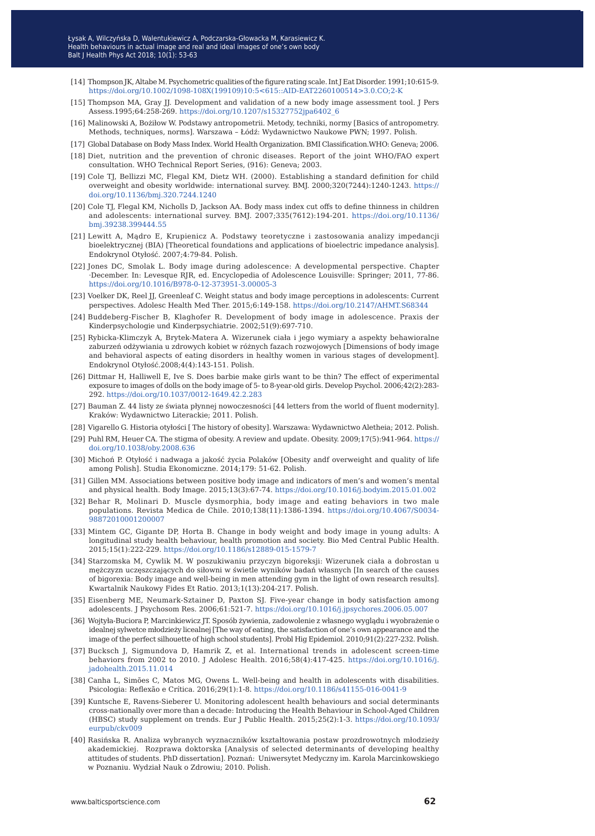- [14] Thompson JK, Altabe M. Psychometric qualities of the figure rating scale. Int J Eat Disorder. 1991;10:615-9. [https://doi.org/10.1002/1098-108X\(199109\)10:5<615::AID-EAT2260100514>3.0.CO;2-K](https://doi.org/10.1002/1098-108X(199109)10:5<615::AID-EAT2260100514>3.0.CO;2-K)
- [15] Thompson MA, Gray JJ. Development and validation of a new body image assessment tool. J Pers Assess.1995;64:258-269. [https://doi.org/10.1207/s15327752jpa6402\\_6](https://doi.org/10.1207/s15327752jpa6402_6)
- [16] Malinowski A, Bożiłow W. Podstawy antropometrii. Metody, techniki, normy [Basics of antropometry. Methods, techniques, norms]. Warszawa – Łódź: Wydawnictwo Naukowe PWN; 1997. Polish.
- [17] Global Database on Body Mass Index. World Health Organization. BMI Classification.WHO: Geneva; 2006.
- [18] Diet, nutrition and the prevention of chronic diseases. Report of the joint WHO/FAO expert consultation. WHO Technical Report Series, (916): Geneva; 2003.
- [19] Cole TJ, Bellizzi MC, Flegal KM, Dietz WH. (2000). Establishing a standard definition for child overweight and obesity worldwide: international survey. BMJ. 2000;320(7244):1240-1243. [https://](https://doi.org/10.1136/bmj.320.7244.1240) [doi.org/10.1136/bmj.320.7244.1240](https://doi.org/10.1136/bmj.320.7244.1240)
- [20] Cole TJ, Flegal KM, Nicholls D, Jackson AA. Body mass index cut offs to define thinness in children and adolescents: international survey. BMJ. 2007;335(7612):194-201. [https://doi.org/10.1136/](https://doi.org/10.1136/bmj.39238.399444.55) [bmj.39238.399444.55](https://doi.org/10.1136/bmj.39238.399444.55)
- [21] Lewitt A, Mądro E, Krupienicz A. Podstawy teoretyczne i zastosowania analizy impedancji bioelektrycznej (BIA) [Theoretical foundations and applications of bioelectric impedance analysis]. Endokrynol Otyłość. 2007;4:79-84. Polish.
- [22] Jones DC, Smolak L. Body image during adolescence: A developmental perspective. Chapter ·December. In: Levesque RJR, ed. Encyclopedia of Adolescence Louisville: Springer; 2011, 77-86. <https://doi.org/10.1016/B978-0-12-373951-3.00005-3>
- [23] Voelker DK, Reel JJ, Greenleaf C. Weight status and body image perceptions in adolescents: Current perspectives. Adolesc Health Med Ther. 2015;6:149-158.<https://doi.org/10.2147/AHMT.S68344>
- [24] Buddeberg-Fischer B, Klaghofer R. Development of body image in adolescence. Praxis der Kinderpsychologie und Kinderpsychiatrie. 2002;51(9):697-710.
- [25] Rybicka-Klimczyk A, Brytek-Matera A. Wizerunek ciała i jego wymiary a aspekty behawioralne zaburzeń odżywiania u zdrowych kobiet w różnych fazach rozwojowych [Dimensions of body image and behavioral aspects of eating disorders in healthy women in various stages of development]. Endokrynol Otyłość.2008;4(4):143-151. Polish.
- [26] Dittmar H, Halliwell E, Ive S. Does barbie make girls want to be thin? The effect of experimental exposure to images of dolls on the body image of 5- to 8-year-old girls. Develop Psychol. 2006;42(2):283- 292. <https://doi.org/10.1037/0012-1649.42.2.283>
- [27] Bauman Z. 44 listy ze świata płynnej nowoczesności [44 letters from the world of fluent modernity]. Kraków: Wydawnictwo Literackie; 2011. Polish.
- [28] Vigarello G. Historia otyłości [ The history of obesity]. Warszawa: Wydawnictwo Aletheia; 2012. Polish.
- [29] Puhl RM, Heuer CA. The stigma of obesity. A review and update. Obesity. 2009;17(5):941-964. [https://](https://doi.org/10.1038/oby.2008.636) [doi.org/10.1038/oby.2008.636](https://doi.org/10.1038/oby.2008.636)
- [30] Michoń P. Otyłość i nadwaga a jakość życia Polaków [Obesity andf overweight and quality of life among Polish]. Studia Ekonomiczne. 2014;179: 51-62. Polish.
- [31] Gillen MM. Associations between positive body image and indicators of men's and women's mental and physical health. Body Image. 2015;13(3):67-74.<https://doi.org/10.1016/j.bodyim.2015.01.002>
- [32] Behar R, Molinari D. Muscle dysmorphia, body image and eating behaviors in two male populations. Revista Medica de Chile. 2010;138(11):1386-1394. [https://doi.org/10.4067/S0034-](https://doi.org/10.4067/S0034-98872010001200007) [98872010001200007](https://doi.org/10.4067/S0034-98872010001200007)
- [33] Mintem GC, Gigante DP, Horta B. Change in body weight and body image in young adults: A longitudinal study health behaviour, health promotion and society. Bio Med Central Public Health. 2015;15(1):222-229. <https://doi.org/10.1186/s12889-015-1579-7>
- [34] Starzomska M, Cywlik M. W poszukiwaniu przyczyn bigoreksji: Wizerunek ciała a dobrostan u mężczyzn uczęszczających do siłowni w świetle wyników badań własnych [In search of the causes of bigorexia: Body image and well-being in men attending gym in the light of own research results]. Kwartalnik Naukowy Fides Et Ratio. 2013;1(13):204-217. Polish.
- [35] Eisenberg ME, Neumark-Sztainer D, Paxton SJ. Five-year change in body satisfaction among adolescents. J Psychosom Res. 2006;61:521-7.<https://doi.org/10.1016/j.jpsychores.2006.05.007>
- [36] Wojtyła-Buciora P, Marcinkiewicz JT. Sposób żywienia, zadowolenie z własnego wyglądu i wyobrażenie o idealnej sylwetce młodzieży licealnej [The way of eating, the satisfaction of one's own appearance and the image of the perfect silhouette of high school students]. Probl Hig Epidemiol. 2010;91(2):227-232. Polish.
- [37] Bucksch J, Sigmundova D, Hamrik Z, et al. International trends in adolescent screen-time behaviors from 2002 to 2010. J Adolesc Health. 2016;58(4):417-425. [https://doi.org/10.1016/j.](https://doi.org/10.1016/j.jadohealth.2015.11.014) [jadohealth.2015.11.014](https://doi.org/10.1016/j.jadohealth.2015.11.014)
- [38] Canha L, Simões C, Matos MG, Owens L. Well-being and health in adolescents with disabilities. Psicologia: Reflexão e Crítica. 2016;29(1):1-8.<https://doi.org/10.1186/s41155-016-0041-9>
- [39] Kuntsche E, Ravens-Sieberer U. Monitoring adolescent health behaviours and social determinants cross-nationally over more than a decade: Introducing the Health Behaviour in School-Aged Children (HBSC) study supplement on trends. Eur J Public Health. 2015;25(2):1-3. [https://doi.org/10.1093/](https://doi.org/10.1093/eurpub/ckv009) [eurpub/ckv009](https://doi.org/10.1093/eurpub/ckv009)
- [40] Rasińska R. Analiza wybranych wyznaczników kształtowania postaw prozdrowotnych młodzieży akademickiej. Rozprawa doktorska [Analysis of selected determinants of developing healthy attitudes of students. PhD dissertation]. Poznań: Uniwersytet Medyczny im. Karola Marcinkowskiego w Poznaniu. Wydział Nauk o Zdrowiu; 2010. Polish.